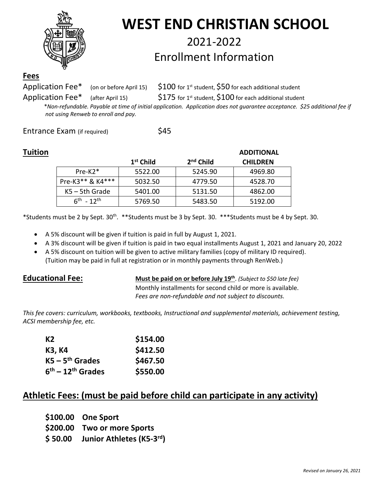

# **WEST END CHRISTIAN SCHOOL**

# 2021-2022 Enrollment Information

#### **Fees**

Application Fee\* (on or before April 15)  $\int$  \$100 for 1st student, \$50 for each additional student

Application Fee\* (after April 15)  $$175$  for 1st student, \$100 for each additional student

 \**Non-refundable. Payable at time of initial application. Application does not guarantee acceptance. \$25 additional fee if not using Renweb to enroll and pay.*

Entrance Exam (if required) \$45

| Tuition |                    |             |             | <b>ADDITIONAL</b> |
|---------|--------------------|-------------|-------------|-------------------|
|         |                    | $1st$ Child | $2nd$ Child | <b>CHILDREN</b>   |
|         | $Pre-K2*$          | 5522.00     | 5245.90     | 4969.80           |
|         | Pre-K3** & K4***   | 5032.50     | 4779.50     | 4528.70           |
|         | $K5 - 5th$ Grade   | 5401.00     | 5131.50     | 4862.00           |
|         | $6^{th} - 12^{th}$ | 5769.50     | 5483.50     | 5192.00           |

\*Students must be 2 by Sept. 30<sup>th</sup>. \*\*Students must be 3 by Sept. 30. \*\*\*Students must be 4 by Sept. 30.

- A 5% discount will be given if tuition is paid in full by August 1, 2021.
- A 3% discount will be given if tuition is paid in two equal installments August 1, 2021 and January 20, 2022
- A 5% discount on tuition will be given to active military families (copy of military ID required). (Tuition may be paid in full at registration or in monthly payments through RenWeb.)

**Educational Fee: Must be paid on or before July 19th**. *(Subject to \$50 late fee)* Monthly installments for second child or more is available. *Fees are non-refundable and not subject to discounts.*

*This fee covers: curriculum, workbooks, textbooks, Instructional and supplemental materials, achievement testing, ACSI membership fee, etc.*

| K <sub>2</sub>      | \$154.00 |
|---------------------|----------|
| K3, K4              | \$412.50 |
| $KS - 5th$ Grades   | \$467.50 |
| $6th - 12th$ Grades | \$550.00 |

# **Athletic Fees: (must be paid before child can participate in any activity)**

- **\$100.00 One Sport**
- **\$200.00 Two or more Sports**
- **\$ 50.00 Junior Athletes (K5-3rd)**